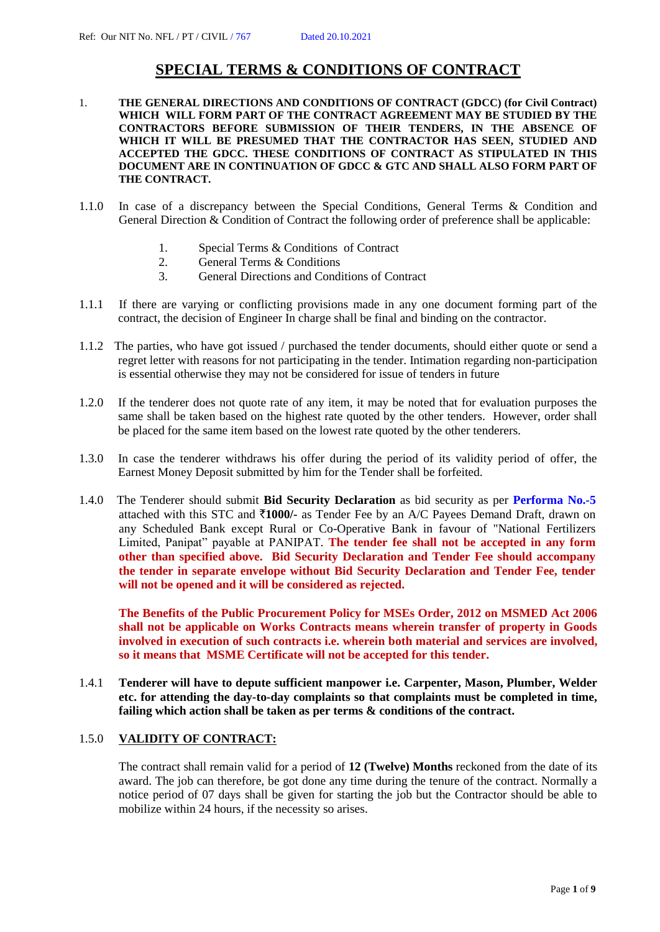## **SPECIAL TERMS & CONDITIONS OF CONTRACT**

- 1. **THE GENERAL DIRECTIONS AND CONDITIONS OF CONTRACT (GDCC) (for Civil Contract) WHICH WILL FORM PART OF THE CONTRACT AGREEMENT MAY BE STUDIED BY THE CONTRACTORS BEFORE SUBMISSION OF THEIR TENDERS, IN THE ABSENCE OF WHICH IT WILL BE PRESUMED THAT THE CONTRACTOR HAS SEEN, STUDIED AND ACCEPTED THE GDCC. THESE CONDITIONS OF CONTRACT AS STIPULATED IN THIS DOCUMENT ARE IN CONTINUATION OF GDCC & GTC AND SHALL ALSO FORM PART OF THE CONTRACT.**
- 1.1.0In case of a discrepancy between the Special Conditions, General Terms & Condition and General Direction & Condition of Contract the following order of preference shall be applicable:
	- 1. Special Terms & Conditions of Contract
	- 2. General Terms & Conditions
	- 3. General Directions and Conditions of Contract
- 1.1.1 If there are varying or conflicting provisions made in any one document forming part of the contract, the decision of Engineer In charge shall be final and binding on the contractor.
- 1.1.2 The parties, who have got issued / purchased the tender documents, should either quote or send a regret letter with reasons for not participating in the tender. Intimation regarding non-participation is essential otherwise they may not be considered for issue of tenders in future
- 1.2.0 If the tenderer does not quote rate of any item, it may be noted that for evaluation purposes the same shall be taken based on the highest rate quoted by the other tenders. However, order shall be placed for the same item based on the lowest rate quoted by the other tenderers.
- 1.3.0 In case the tenderer withdraws his offer during the period of its validity period of offer, the Earnest Money Deposit submitted by him for the Tender shall be forfeited.
- 1.4.0 The Tenderer should submit **Bid Security Declaration** as bid security as per **Performa No.-5** attached with this STC and `**1000/-** as Tender Fee by an A/C Payees Demand Draft, drawn on any Scheduled Bank except Rural or Co-Operative Bank in favour of "National Fertilizers Limited, Panipat" payable at PANIPAT. **The tender fee shall not be accepted in any form other than specified above. Bid Security Declaration and Tender Fee should accompany the tender in separate envelope without Bid Security Declaration and Tender Fee, tender will not be opened and it will be considered as rejected.**

**The Benefits of the Public Procurement Policy for MSEs Order, 2012 on MSMED Act 2006 shall not be applicable on Works Contracts means wherein transfer of property in Goods involved in execution of such contracts i.e. wherein both material and services are involved, so it means that MSME Certificate will not be accepted for this tender.**

1.4.1 **Tenderer will have to depute sufficient manpower i.e. Carpenter, Mason, Plumber, Welder etc. for attending the day-to-day complaints so that complaints must be completed in time, failing which action shall be taken as per terms & conditions of the contract.**

## 1.5.0 **VALIDITY OF CONTRACT:**

The contract shall remain valid for a period of **12 (Twelve) Months** reckoned from the date of its award. The job can therefore, be got done any time during the tenure of the contract. Normally a notice period of 07 days shall be given for starting the job but the Contractor should be able to mobilize within 24 hours, if the necessity so arises.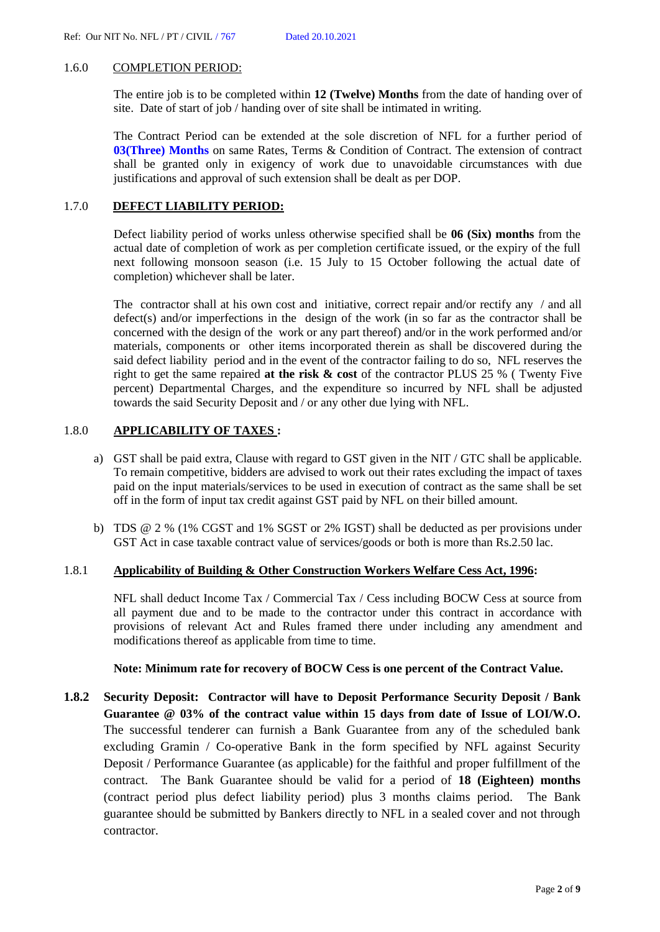### 1.6.0 COMPLETION PERIOD:

The entire job is to be completed within **12 (Twelve) Months** from the date of handing over of site. Date of start of job / handing over of site shall be intimated in writing.

The Contract Period can be extended at the sole discretion of NFL for a further period of **03(Three) Months** on same Rates, Terms & Condition of Contract. The extension of contract shall be granted only in exigency of work due to unavoidable circumstances with due justifications and approval of such extension shall be dealt as per DOP.

### 1.7.0 **DEFECT LIABILITY PERIOD:**

Defect liability period of works unless otherwise specified shall be **06 (Six) months** from the actual date of completion of work as per completion certificate issued, or the expiry of the full next following monsoon season (i.e. 15 July to 15 October following the actual date of completion) whichever shall be later.

The contractor shall at his own cost and initiative, correct repair and/or rectify any / and all defect(s) and/or imperfections in the design of the work (in so far as the contractor shall be concerned with the design of the work or any part thereof) and/or in the work performed and/or materials, components or other items incorporated therein as shall be discovered during the said defect liability period and in the event of the contractor failing to do so, NFL reserves the right to get the same repaired **at the risk & cost** of the contractor PLUS 25 % ( Twenty Five percent) Departmental Charges, and the expenditure so incurred by NFL shall be adjusted towards the said Security Deposit and / or any other due lying with NFL.

## 1.8.0 **APPLICABILITY OF TAXES :**

- a) GST shall be paid extra, Clause with regard to GST given in the NIT / GTC shall be applicable. To remain competitive, bidders are advised to work out their rates excluding the impact of taxes paid on the input materials/services to be used in execution of contract as the same shall be set off in the form of input tax credit against GST paid by NFL on their billed amount.
- b) TDS @ 2 % (1% CGST and 1% SGST or 2% IGST) shall be deducted as per provisions under GST Act in case taxable contract value of services/goods or both is more than Rs.2.50 lac.

### 1.8.1 **Applicability of Building & Other Construction Workers Welfare Cess Act, 1996:**

NFL shall deduct Income Tax / Commercial Tax / Cess including BOCW Cess at source from all payment due and to be made to the contractor under this contract in accordance with provisions of relevant Act and Rules framed there under including any amendment and modifications thereof as applicable from time to time.

### **Note: Minimum rate for recovery of BOCW Cess is one percent of the Contract Value.**

**1.8.2 Security Deposit: Contractor will have to Deposit Performance Security Deposit / Bank Guarantee @ 03% of the contract value within 15 days from date of Issue of LOI/W.O.** The successful tenderer can furnish a Bank Guarantee from any of the scheduled bank excluding Gramin / Co-operative Bank in the form specified by NFL against Security Deposit / Performance Guarantee (as applicable) for the faithful and proper fulfillment of the contract. The Bank Guarantee should be valid for a period of **18 (Eighteen) months** (contract period plus defect liability period) plus 3 months claims period. The Bank guarantee should be submitted by Bankers directly to NFL in a sealed cover and not through contractor.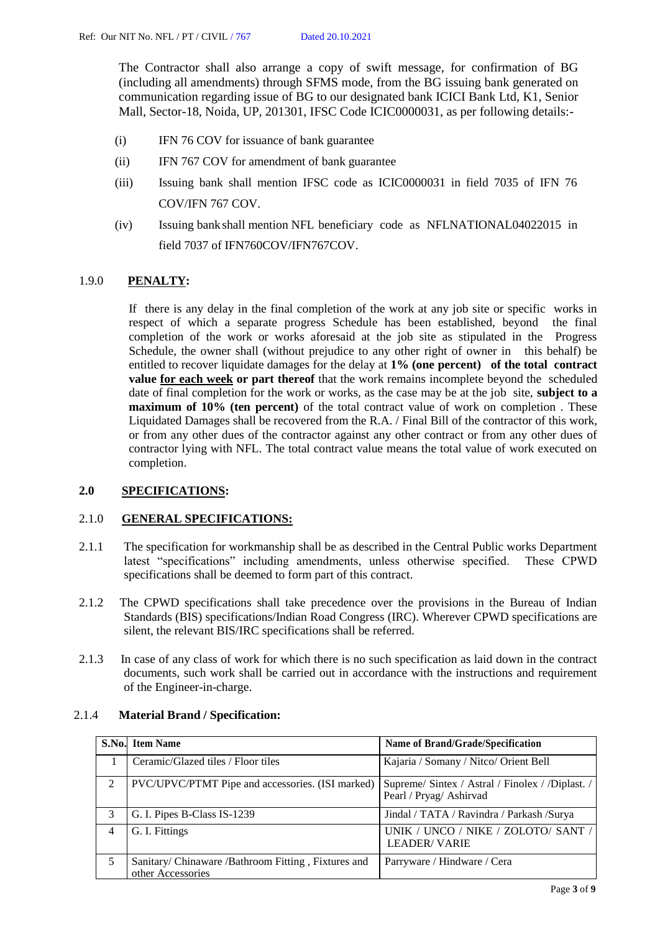The Contractor shall also arrange a copy of swift message, for confirmation of BG (including all amendments) through SFMS mode, from the BG issuing bank generated on communication regarding issue of BG to our designated bank ICICI Bank Ltd, K1, Senior Mall, Sector-18, Noida, UP, 201301, IFSC Code ICIC0000031, as per following details:-

- (i) IFN 76 COV for issuance of bank guarantee
- (ii) IFN 767 COV for amendment of bank guarantee
- (iii) Issuing bank shall mention IFSC code as ICIC0000031 in field 7035 of IFN 76 COV/IFN 767 COV.
- (iv) Issuing bankshall mention NFL beneficiary code as NFLNATIONAL04022015 in field 7037 of IFN760COV/IFN767COV.

## 1.9.0 **PENALTY:**

If there is any delay in the final completion of the work at any job site or specific works in respect of which a separate progress Schedule has been established, beyond the final completion of the work or works aforesaid at the job site as stipulated in the Progress Schedule, the owner shall (without prejudice to any other right of owner in this behalf) be entitled to recover liquidate damages for the delay at **1% (one percent) of the total contract value for each week or part thereof** that the work remains incomplete beyond the scheduled date of final completion for the work or works, as the case may be at the job site, **subject to a maximum of 10% (ten percent)** of the total contract value of work on completion . These Liquidated Damages shall be recovered from the R.A. / Final Bill of the contractor of this work, or from any other dues of the contractor against any other contract or from any other dues of contractor lying with NFL. The total contract value means the total value of work executed on completion.

## **2.0 SPECIFICATIONS:**

## 2.1.0 **GENERAL SPECIFICATIONS:**

- 2.1.1 The specification for workmanship shall be as described in the Central Public works Department latest "specifications" including amendments, unless otherwise specified. These CPWD specifications shall be deemed to form part of this contract.
- 2.1.2 The CPWD specifications shall take precedence over the provisions in the Bureau of Indian Standards (BIS) specifications/Indian Road Congress (IRC). Wherever CPWD specifications are silent, the relevant BIS/IRC specifications shall be referred.
- 2.1.3 In case of any class of work for which there is no such specification as laid down in the contract documents, such work shall be carried out in accordance with the instructions and requirement of the Engineer-in-charge.

## 2.1.4 **Material Brand / Specification:**

|   | <b>S.No.</b> Item Name                                                   | Name of Brand/Grade/Specification                                           |
|---|--------------------------------------------------------------------------|-----------------------------------------------------------------------------|
|   | Ceramic/Glazed tiles / Floor tiles                                       | Kajaria / Somany / Nitco/ Orient Bell                                       |
| 2 | PVC/UPVC/PTMT Pipe and accessories. (ISI marked)                         | Supreme/ Sintex / Astral / Finolex / /Diplast. /<br>Pearl / Pryag/ Ashirvad |
| 3 | G. I. Pipes B-Class IS-1239                                              | Jindal / TATA / Ravindra / Parkash /Surya                                   |
| 4 | G. I. Fittings                                                           | UNIK / UNCO / NIKE / ZOLOTO/ SANT /  <br><b>LEADER/VARIE</b>                |
|   | Sanitary/ Chinaware /Bathroom Fitting, Fixtures and<br>other Accessories | Parryware / Hindware / Cera                                                 |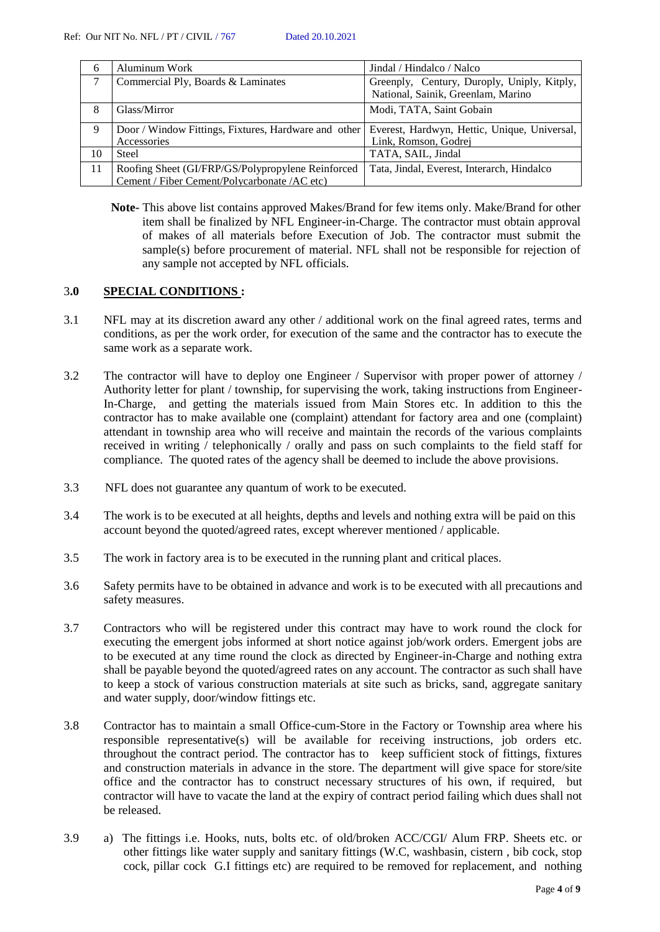| 6  | Aluminum Work                                        | Jindal / Hindalco / Nalco                    |  |
|----|------------------------------------------------------|----------------------------------------------|--|
|    | Commercial Ply, Boards & Laminates                   | Greenply, Century, Duroply, Uniply, Kitply,  |  |
|    |                                                      | National, Sainik, Greenlam, Marino           |  |
| 8  | Glass/Mirror                                         | Modi, TATA, Saint Gobain                     |  |
| 9  | Door / Window Fittings, Fixtures, Hardware and other | Everest, Hardwyn, Hettic, Unique, Universal, |  |
|    | Accessories                                          | Link, Romson, Godrej                         |  |
| 10 | <b>Steel</b>                                         | TATA, SAIL, Jindal                           |  |
| 11 | Roofing Sheet (GI/FRP/GS/Polypropylene Reinforced    | Tata, Jindal, Everest, Interarch, Hindalco   |  |
|    | Cement / Fiber Cement/Polycarbonate /AC etc)         |                                              |  |

**Note-** This above list contains approved Makes/Brand for few items only. Make/Brand for other item shall be finalized by NFL Engineer-in-Charge. The contractor must obtain approval of makes of all materials before Execution of Job. The contractor must submit the sample(s) before procurement of material. NFL shall not be responsible for rejection of any sample not accepted by NFL officials.

### 3**.0 SPECIAL CONDITIONS :**

- 3.1 NFL may at its discretion award any other / additional work on the final agreed rates, terms and conditions, as per the work order, for execution of the same and the contractor has to execute the same work as a separate work.
- 3.2 The contractor will have to deploy one Engineer / Supervisor with proper power of attorney / Authority letter for plant / township, for supervising the work, taking instructions from Engineer-In-Charge, and getting the materials issued from Main Stores etc. In addition to this the contractor has to make available one (complaint) attendant for factory area and one (complaint) attendant in township area who will receive and maintain the records of the various complaints received in writing / telephonically / orally and pass on such complaints to the field staff for compliance. The quoted rates of the agency shall be deemed to include the above provisions.
- 3.3 NFL does not guarantee any quantum of work to be executed.
- 3.4 The work is to be executed at all heights, depths and levels and nothing extra will be paid on this account beyond the quoted/agreed rates, except wherever mentioned / applicable.
- 3.5 The work in factory area is to be executed in the running plant and critical places.
- 3.6 Safety permits have to be obtained in advance and work is to be executed with all precautions and safety measures.
- 3.7 Contractors who will be registered under this contract may have to work round the clock for executing the emergent jobs informed at short notice against job/work orders. Emergent jobs are to be executed at any time round the clock as directed by Engineer-in-Charge and nothing extra shall be payable beyond the quoted/agreed rates on any account. The contractor as such shall have to keep a stock of various construction materials at site such as bricks, sand, aggregate sanitary and water supply, door/window fittings etc.
- 3.8 Contractor has to maintain a small Office-cum-Store in the Factory or Township area where his responsible representative(s) will be available for receiving instructions, job orders etc. throughout the contract period. The contractor has to keep sufficient stock of fittings, fixtures and construction materials in advance in the store. The department will give space for store/site office and the contractor has to construct necessary structures of his own, if required, but contractor will have to vacate the land at the expiry of contract period failing which dues shall not be released.
- 3.9 a) The fittings i.e. Hooks, nuts, bolts etc. of old/broken ACC/CGI/ Alum FRP. Sheets etc. or other fittings like water supply and sanitary fittings (W.C, washbasin, cistern , bib cock, stop cock, pillar cock G.I fittings etc) are required to be removed for replacement, and nothing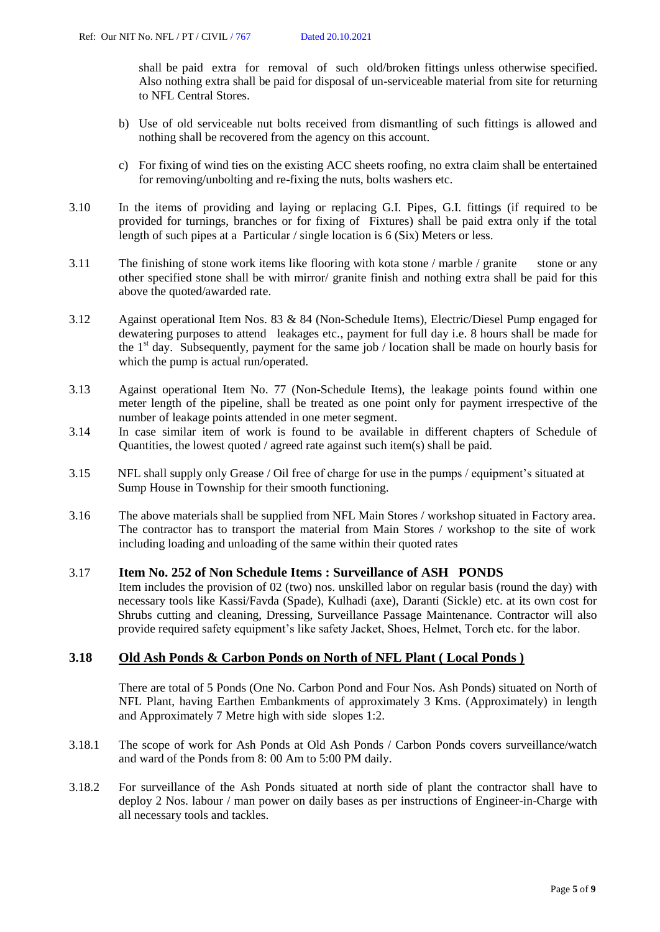shall be paid extra for removal of such old/broken fittings unless otherwise specified. Also nothing extra shall be paid for disposal of un-serviceable material from site for returning to NFL Central Stores.

- b) Use of old serviceable nut bolts received from dismantling of such fittings is allowed and nothing shall be recovered from the agency on this account.
- c) For fixing of wind ties on the existing ACC sheets roofing, no extra claim shall be entertained for removing/unbolting and re-fixing the nuts, bolts washers etc.
- 3.10 In the items of providing and laying or replacing G.I. Pipes, G.I. fittings (if required to be provided for turnings, branches or for fixing of Fixtures) shall be paid extra only if the total length of such pipes at a Particular / single location is 6 (Six) Meters or less.
- 3.11 The finishing of stone work items like flooring with kota stone / marble / granite stone or any other specified stone shall be with mirror/ granite finish and nothing extra shall be paid for this above the quoted/awarded rate.
- 3.12 Against operational Item Nos. 83 & 84 (Non-Schedule Items), Electric/Diesel Pump engaged for dewatering purposes to attend leakages etc., payment for full day i.e. 8 hours shall be made for the 1<sup>st</sup> day. Subsequently, payment for the same job / location shall be made on hourly basis for which the pump is actual run/operated.
- 3.13 Against operational Item No. 77 (Non-Schedule Items), the leakage points found within one meter length of the pipeline, shall be treated as one point only for payment irrespective of the number of leakage points attended in one meter segment.
- 3.14 In case similar item of work is found to be available in different chapters of Schedule of Quantities, the lowest quoted / agreed rate against such item(s) shall be paid.
- 3.15 NFL shall supply only Grease / Oil free of charge for use in the pumps / equipment's situated at Sump House in Township for their smooth functioning.
- 3.16 The above materials shall be supplied from NFL Main Stores / workshop situated in Factory area. The contractor has to transport the material from Main Stores / workshop to the site of work including loading and unloading of the same within their quoted rates

## 3.17 **Item No. 252 of Non Schedule Items : Surveillance of ASH PONDS**

Item includes the provision of 02 (two) nos. unskilled labor on regular basis (round the day) with necessary tools like Kassi/Favda (Spade), Kulhadi (axe), Daranti (Sickle) etc. at its own cost for Shrubs cutting and cleaning, Dressing, Surveillance Passage Maintenance. Contractor will also provide required safety equipment's like safety Jacket, Shoes, Helmet, Torch etc. for the labor.

## **3.18 Old Ash Ponds & Carbon Ponds on North of NFL Plant ( Local Ponds )**

There are total of 5 Ponds (One No. Carbon Pond and Four Nos. Ash Ponds) situated on North of NFL Plant, having Earthen Embankments of approximately 3 Kms. (Approximately) in length and Approximately 7 Metre high with side slopes 1:2.

- 3.18.1 The scope of work for Ash Ponds at Old Ash Ponds / Carbon Ponds covers surveillance/watch and ward of the Ponds from 8: 00 Am to 5:00 PM daily.
- 3.18.2 For surveillance of the Ash Ponds situated at north side of plant the contractor shall have to deploy 2 Nos. labour / man power on daily bases as per instructions of Engineer-in-Charge with all necessary tools and tackles.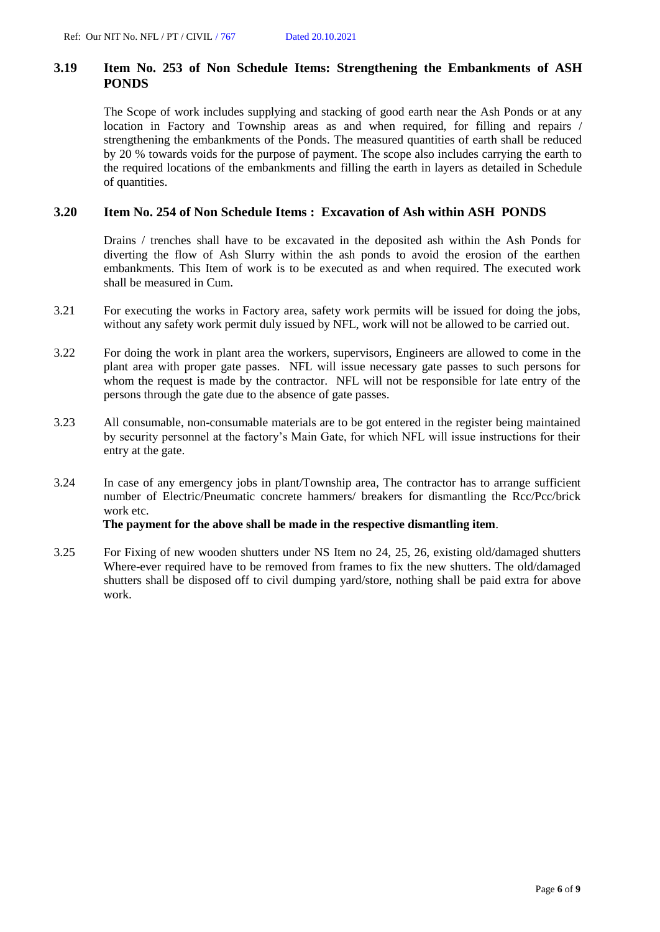## **3.19 Item No. 253 of Non Schedule Items: Strengthening the Embankments of ASH PONDS**

The Scope of work includes supplying and stacking of good earth near the Ash Ponds or at any location in Factory and Township areas as and when required, for filling and repairs / strengthening the embankments of the Ponds. The measured quantities of earth shall be reduced by 20 % towards voids for the purpose of payment. The scope also includes carrying the earth to the required locations of the embankments and filling the earth in layers as detailed in Schedule of quantities.

## **3.20 Item No. 254 of Non Schedule Items : Excavation of Ash within ASH PONDS**

Drains / trenches shall have to be excavated in the deposited ash within the Ash Ponds for diverting the flow of Ash Slurry within the ash ponds to avoid the erosion of the earthen embankments. This Item of work is to be executed as and when required. The executed work shall be measured in Cum.

- 3.21 For executing the works in Factory area, safety work permits will be issued for doing the jobs, without any safety work permit duly issued by NFL, work will not be allowed to be carried out.
- 3.22 For doing the work in plant area the workers, supervisors, Engineers are allowed to come in the plant area with proper gate passes. NFL will issue necessary gate passes to such persons for whom the request is made by the contractor. NFL will not be responsible for late entry of the persons through the gate due to the absence of gate passes.
- 3.23 All consumable, non-consumable materials are to be got entered in the register being maintained by security personnel at the factory's Main Gate, for which NFL will issue instructions for their entry at the gate.
- 3.24 In case of any emergency jobs in plant/Township area, The contractor has to arrange sufficient number of Electric/Pneumatic concrete hammers/ breakers for dismantling the Rcc/Pcc/brick work etc.

## **The payment for the above shall be made in the respective dismantling item**.

3.25 For Fixing of new wooden shutters under NS Item no 24, 25, 26, existing old/damaged shutters Where-ever required have to be removed from frames to fix the new shutters. The old/damaged shutters shall be disposed off to civil dumping yard/store, nothing shall be paid extra for above work.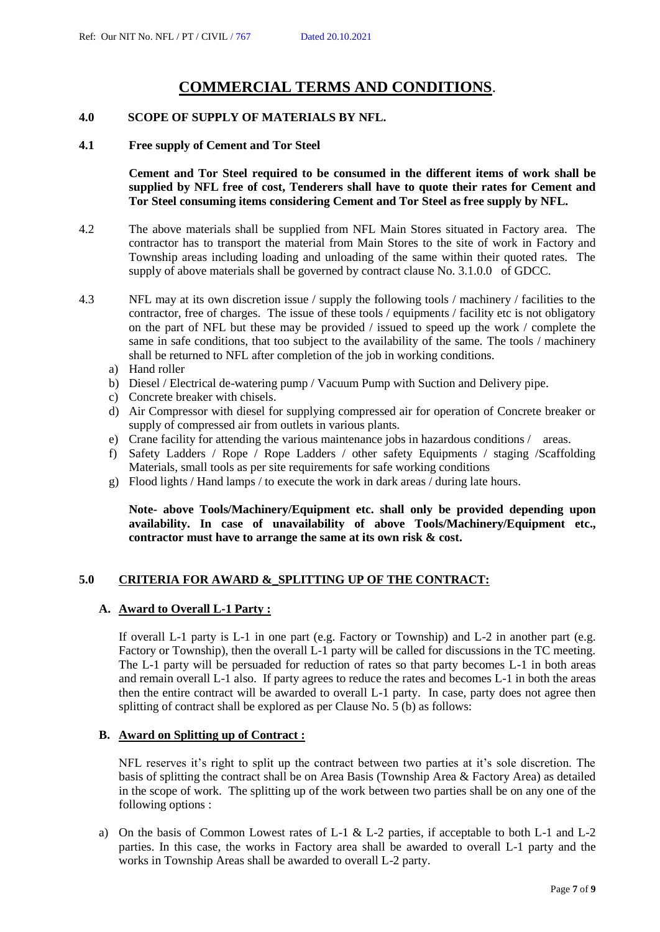# **COMMERCIAL TERMS AND CONDITIONS**.

## **4.0 SCOPE OF SUPPLY OF MATERIALS BY NFL.**

### **4.1 Free supply of Cement and Tor Steel**

**Cement and Tor Steel required to be consumed in the different items of work shall be supplied by NFL free of cost, Tenderers shall have to quote their rates for Cement and Tor Steel consuming items considering Cement and Tor Steel as free supply by NFL.**

- 4.2 The above materials shall be supplied from NFL Main Stores situated in Factory area. The contractor has to transport the material from Main Stores to the site of work in Factory and Township areas including loading and unloading of the same within their quoted rates. The supply of above materials shall be governed by contract clause No. 3.1.0.0 of GDCC.
- 4.3 NFL may at its own discretion issue / supply the following tools / machinery / facilities to the contractor, free of charges. The issue of these tools / equipments / facility etc is not obligatory on the part of NFL but these may be provided / issued to speed up the work / complete the same in safe conditions, that too subject to the availability of the same. The tools / machinery shall be returned to NFL after completion of the job in working conditions.
	- a) Hand roller
	- b) Diesel / Electrical de-watering pump / Vacuum Pump with Suction and Delivery pipe.
	- c) Concrete breaker with chisels.
	- d) Air Compressor with diesel for supplying compressed air for operation of Concrete breaker or supply of compressed air from outlets in various plants.
	- e) Crane facility for attending the various maintenance jobs in hazardous conditions / areas.
	- f) Safety Ladders / Rope / Rope Ladders / other safety Equipments / staging /Scaffolding Materials, small tools as per site requirements for safe working conditions
	- g) Flood lights / Hand lamps / to execute the work in dark areas / during late hours.

**Note- above Tools/Machinery/Equipment etc. shall only be provided depending upon availability. In case of unavailability of above Tools/Machinery/Equipment etc., contractor must have to arrange the same at its own risk & cost.**

## **5.0 CRITERIA FOR AWARD &\_SPLITTING UP OF THE CONTRACT:**

## **A. Award to Overall L-1 Party :**

If overall L-1 party is L-1 in one part (e.g. Factory or Township) and L-2 in another part (e.g. Factory or Township), then the overall L-1 party will be called for discussions in the TC meeting. The L-1 party will be persuaded for reduction of rates so that party becomes L-1 in both areas and remain overall L-1 also. If party agrees to reduce the rates and becomes L-1 in both the areas then the entire contract will be awarded to overall L-1 party. In case, party does not agree then splitting of contract shall be explored as per Clause No. 5 (b) as follows:

## **B. Award on Splitting up of Contract :**

NFL reserves it's right to split up the contract between two parties at it's sole discretion. The basis of splitting the contract shall be on Area Basis (Township Area & Factory Area) as detailed in the scope of work. The splitting up of the work between two parties shall be on any one of the following options :

a) On the basis of Common Lowest rates of L-1 & L-2 parties, if acceptable to both L-1 and L-2 parties. In this case, the works in Factory area shall be awarded to overall L-1 party and the works in Township Areas shall be awarded to overall L-2 party.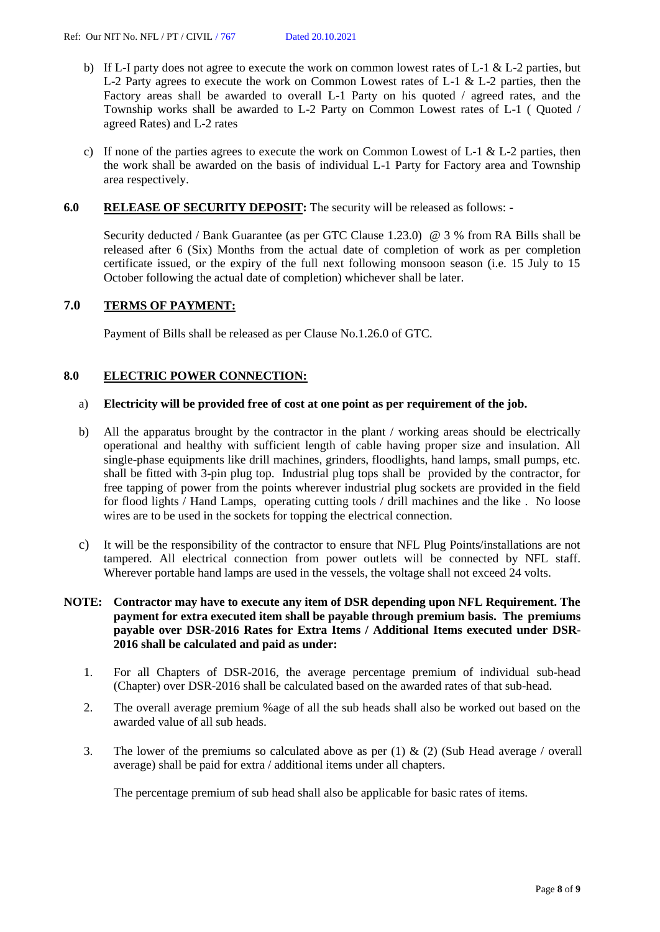- b) If L-I party does not agree to execute the work on common lowest rates of L-1  $&$  L-2 parties, but L-2 Party agrees to execute the work on Common Lowest rates of L-1 & L-2 parties, then the Factory areas shall be awarded to overall L-1 Party on his quoted / agreed rates, and the Township works shall be awarded to L-2 Party on Common Lowest rates of L-1 ( Quoted / agreed Rates) and L-2 rates
- c) If none of the parties agrees to execute the work on Common Lowest of L-1  $\&$  L-2 parties, then the work shall be awarded on the basis of individual L-1 Party for Factory area and Township area respectively.

### **6.0 RELEASE OF SECURITY DEPOSIT:** The security will be released as follows: -

Security deducted / Bank Guarantee (as per GTC Clause 1.23.0) @ 3 % from RA Bills shall be released after 6 (Six) Months from the actual date of completion of work as per completion certificate issued, or the expiry of the full next following monsoon season (i.e. 15 July to 15 October following the actual date of completion) whichever shall be later.

### **7.0 TERMS OF PAYMENT:**

Payment of Bills shall be released as per Clause No.1.26.0 of GTC.

### **8.0 ELECTRIC POWER CONNECTION:**

### a) **Electricity will be provided free of cost at one point as per requirement of the job.**

- b) All the apparatus brought by the contractor in the plant / working areas should be electrically operational and healthy with sufficient length of cable having proper size and insulation. All single-phase equipments like drill machines, grinders, floodlights, hand lamps, small pumps, etc. shall be fitted with 3-pin plug top. Industrial plug tops shall be provided by the contractor, for free tapping of power from the points wherever industrial plug sockets are provided in the field for flood lights / Hand Lamps, operating cutting tools / drill machines and the like . No loose wires are to be used in the sockets for topping the electrical connection.
- c) It will be the responsibility of the contractor to ensure that NFL Plug Points/installations are not tampered. All electrical connection from power outlets will be connected by NFL staff. Wherever portable hand lamps are used in the vessels, the voltage shall not exceed 24 volts.

## **NOTE: Contractor may have to execute any item of DSR depending upon NFL Requirement. The payment for extra executed item shall be payable through premium basis. The premiums payable over DSR-2016 Rates for Extra Items / Additional Items executed under DSR-2016 shall be calculated and paid as under:**

- 1. For all Chapters of DSR-2016, the average percentage premium of individual sub-head (Chapter) over DSR-2016 shall be calculated based on the awarded rates of that sub-head.
- 2. The overall average premium %age of all the sub heads shall also be worked out based on the awarded value of all sub heads.
- 3. The lower of the premiums so calculated above as per (1) & (2) (Sub Head average / overall average) shall be paid for extra / additional items under all chapters.

The percentage premium of sub head shall also be applicable for basic rates of items.